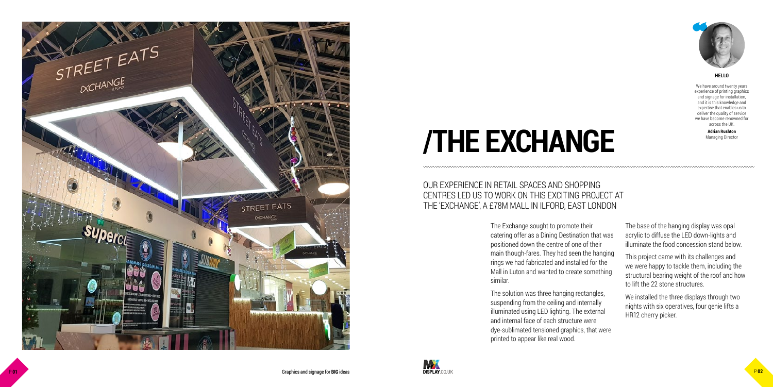

# **/THE EXCHANGE**

The Exchange sought to promote their catering offer as a Dining Destination that was positioned down the centre of one of their main though-fares. They had seen the hanging rings we had fabricated and installed for the Mall in Luton and wanted to create something similar.

The solution was three hanging rectangles, suspending from the ceiling and internally illuminated using LED lighting. The external and internal face of each structure were dye-sublimated tensioned graphics, that were printed to appear like real wood.



The base of the hanging display was opal acrylic to diffuse the LED down-lights and illuminate the food concession stand below.

This project came with its challenges and we were happy to tackle them, including the structural bearing weight of the roof and how to lift the 22 stone structures.

We installed the three displays through two nights with six operatives, four genie lifts a HR12 cherry picker.

### OUR EXPERIENCE IN RETAIL SPACES AND SHOPPING CENTRES LED US TO WORK ON THIS EXCITING PROJECT AT THE 'EXCHANGE', A £78M MALL IN ILFORD, EAST LONDON

We have around twenty years experience of printing graphics and signage for installation, and it is this knowledge and expertise that enables us to deliver the quality of service we have become renowned for across the UK.

> **Adrian Rushton** Managing Director

#### **HELLO**

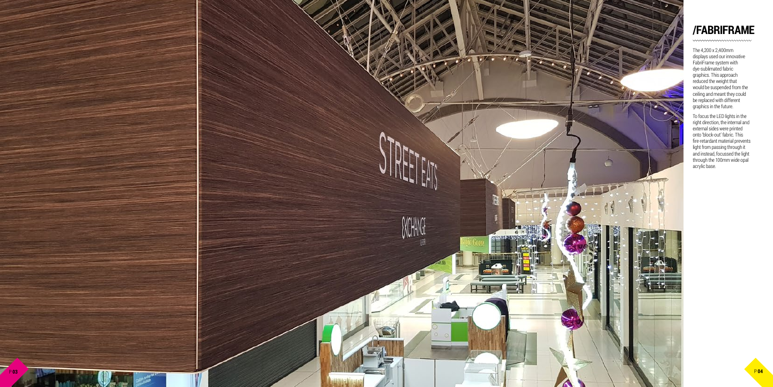# **/FABRIFRAME**

The 4,200 x 2,400mm displays used our innovative FabriFrame system with dye-sublimated fabric graphics. This approach reduced the weight that would be suspended from the ceiling and meant they could be replaced with different graphics in the future.



To focus the LED lights in the right direction, the internal and external sides were printed onto 'block-out' fabric. This fire-retardant material prevents light from passing through it and instead, focussed the light through the 100mm wide opal acrylic base.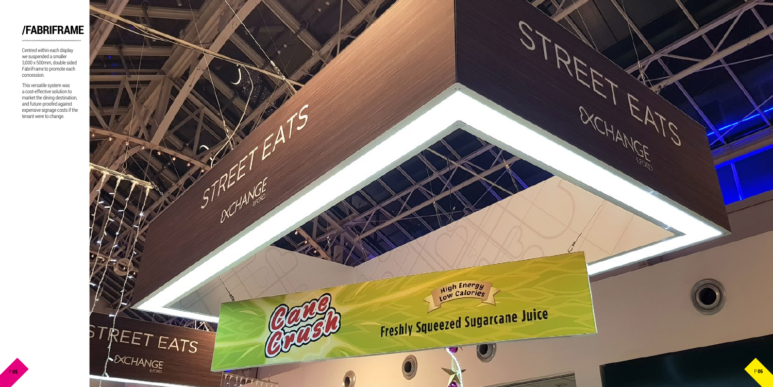## **/FABRIFRAME**

*mmmmmmmmm* 

Centred within each display we suspended a smaller 3,000 x 500mm, double sided FabriFrame to promote each concession.



This versatile system was a cost-effective solution to market the dining destination, and future-proofed against expensive signage costs if the tenant were to change.